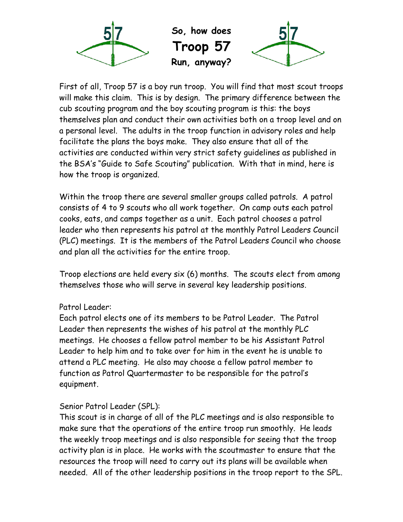

**So, how does Troop 57 Run, anyway?**



First of all, Troop 57 is a boy run troop. You will find that most scout troops will make this claim. This is by design. The primary difference between the cub scouting program and the boy scouting program is this: the boys themselves plan and conduct their own activities both on a troop level and on a personal level. The adults in the troop function in advisory roles and help facilitate the plans the boys make. They also ensure that all of the activities are conducted within very strict safety guidelines as published in the BSA's "Guide to Safe Scouting" publication. With that in mind, here is how the troop is organized.

Within the troop there are several smaller groups called patrols. A patrol consists of 4 to 9 scouts who all work together. On camp outs each patrol cooks, eats, and camps together as a unit. Each patrol chooses a patrol leader who then represents his patrol at the monthly Patrol Leaders Council (PLC) meetings. It is the members of the Patrol Leaders Council who choose and plan all the activities for the entire troop.

Troop elections are held every six (6) months. The scouts elect from among themselves those who will serve in several key leadership positions.

#### Patrol Leader:

Each patrol elects one of its members to be Patrol Leader. The Patrol Leader then represents the wishes of his patrol at the monthly PLC meetings. He chooses a fellow patrol member to be his Assistant Patrol Leader to help him and to take over for him in the event he is unable to attend a PLC meeting. He also may choose a fellow patrol member to function as Patrol Quartermaster to be responsible for the patrol's equipment.

#### Senior Patrol Leader (SPL):

This scout is in charge of all of the PLC meetings and is also responsible to make sure that the operations of the entire troop run smoothly. He leads the weekly troop meetings and is also responsible for seeing that the troop activity plan is in place. He works with the scoutmaster to ensure that the resources the troop will need to carry out its plans will be available when needed. All of the other leadership positions in the troop report to the SPL.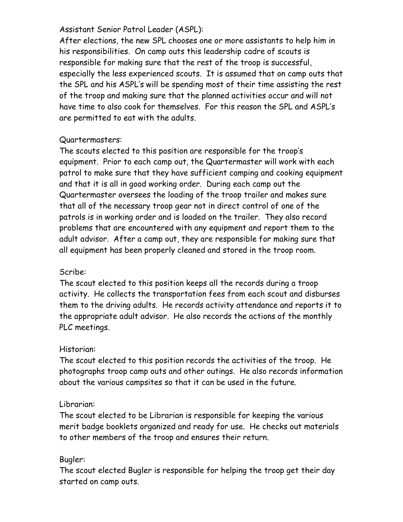#### Assistant Senior Patrol Leader (ASPL):

After elections, the new SPL chooses one or more assistants to help him in his responsibilities. On camp outs this leadership cadre of scouts is responsible for making sure that the rest of the troop is successful,<br>especially the less experienced scouts. It is assumed that on camp outs that the SPL and his ASPL's will be spending most of their time assisting the rest of the troop and making sure that the planned activities occur and will not have time to also cook for themselves. For this reason the SPL and ASPL's are permitted to eat with the adults.

#### Quartermasters:

The scouts elected to this position are responsible for the troop's equipment. Prior to each camp out, the Quartermaster will work with each patrol to make sure that they have sufficient camping and cooking equipment and that it is all in good working order. During each camp out the Quartermaster oversees the loading of the troop trailer and makes sure that all of the necessary troop gear not in direct control of one of the patrols is in working order and is loaded on the trailer. They also record problems that are encountered with any equipment and report them to the adult advisor. After a camp out, they are responsible for making sure that all equipment has been properly cleaned and stored in the troop room.

#### Scribe:

The scout elected to this position keeps all the records during a troop activity. He collects the transportation fees from each scout and disburses them to the driving adults. He records activity attendance and reports it to the appropriate adult advisor. He also records the actions of the monthly PLC meetings.

#### Historian:

The scout elected to this position records the activities of the troop. He photographs troop camp outs and other outings. He also records information about the various campsites so that it can be used in the future.

#### Librarian:

The scout elected to be Librarian is responsible for keeping the various merit badge booklets organized and ready for use. He checks out materials to other members of the troop and ensures their return.

#### Bugler:

The scout elected Bugler is responsible for helping the troop get their day started on camp outs.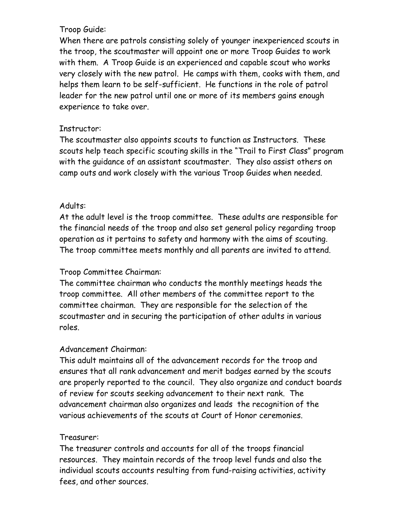#### Troop Guide:

When there are patrols consisting solely of younger inexperienced scouts in the troop, the scoutmaster will appoint one or more Troop Guides to work with them. A Troop Guide is an experienced and capable scout who works very closely with the new patrol. He camps with them, cooks with them, and helps them learn to be self-sufficient. He functions in the role of patrol leader for the new patrol until one or more of its members gains enough experience to take over.

#### Instructor:

The scoutmaster also appoints scouts to function as Instructors. These scouts help teach specific scouting skills in the "Trail to First Class" program with the guidance of an assistant scoutmaster. They also assist others on camp outs and work closely with the various Troop Guides when needed.

#### Adults:

At the adult level is the troop committee. These adults are responsible for the financial needs of the troop and also set general policy regarding troop operation as it pertains to safety and harmony with the aims of scouting. The troop committee meets monthly and all parents are invited to attend.

#### Troop Committee Chairman:

The committee chairman who conducts the monthly meetings heads the troop committee. All other members of the committee report to the committee chairman. They are responsible for the selection of the scoutmaster and in securing the participation of other adults in various roles.

#### Advancement Chairman:

This adult maintains all of the advancement records for the troop and ensures that all rank advancement and merit badges earned by the scouts are properly reported to the council. They also organize and conduct boards of review for scouts seeking advancement to their next rank. The advancement chairman also organizes and leads the recognition of the various achievements of the scouts at Court of Honor ceremonies.

#### Treasurer:

The treasurer controls and accounts for all of the troops financial resources. They maintain records of the troop level funds and also the individual scouts accounts resulting from fund-raising activities, activity fees, and other sources.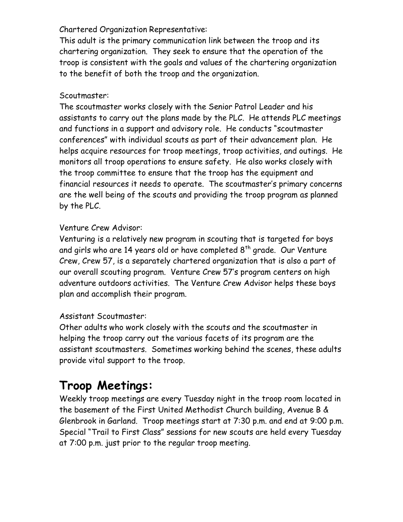#### Chartered Organization Representative:

This adult is the primary communication link between the troop and its chartering organization. They seek to ensure that the operation of the troop is consistent with the goals and values of the chartering organization to the benefit of both the troop and the organization.

#### Scoutmaster:

The scoutmaster works closely with the Senior Patrol Leader and his assistants to carry out the plans made by the PLC. He attends PLC meetings and functions in a support and advisory role. He conducts "scoutmaster conferences" with individual scouts as part of their advancement plan. He helps acquire resources for troop meetings, troop activities, and outings. He monitors all troop operations to ensure safety. He also works closely with the troop committee to ensure that the troop has the equipment and financial resources it needs to operate. The scoutmaster's primary concerns are the well being of the scouts and providing the troop program as planned by the PLC.

#### Venture Crew Advisor:

Venturing is a relatively new program in scouting that is targeted for boys and girls who are 14 years old or have completed  $8<sup>th</sup>$  grade. Our Venture Crew, Crew 57, is a separately chartered organization that is also a part of our overall scouting program. Venture Crew 57's program centers on high adventure outdoors activities. The Venture Crew Advisor helps these boys plan and accomplish their program.

#### Assistant Scoutmaster:

Other adults who work closely with the scouts and the scoutmaster in helping the troop carry out the various facets of its program are the assistant scoutmasters. Sometimes working behind the scenes, these adults provide vital support to the troop.

### **Troop Meetings:**

Weekly troop meetings are every Tuesday night in the troop room located in the basement of the First United Methodist Church building, Avenue B & Glenbrook in Garland. Troop meetings start at 7:30 p.m. and end at 9:00 p.m. Special "Trail to First Class" sessions for new scouts are held every Tuesday at 7:00 p.m. just prior to the regular troop meeting.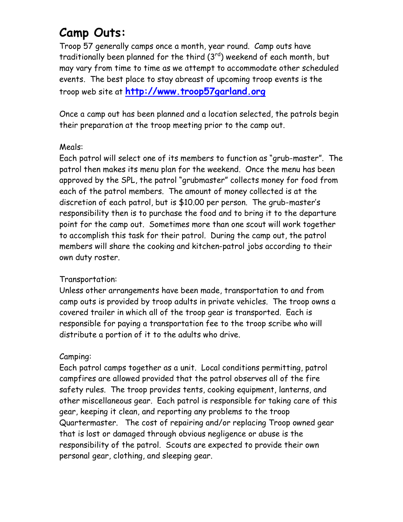### **Camp Outs:**

Troop 57 generally camps once a month, year round. Camp outs have traditionally been planned for the third (3<sup>rd</sup>) weekend of each month, but may vary from time to time as we attempt to accommodate other scheduled events. The best place to stay abreast of upcoming troop events is the troop web site at **http://www.troop57garland.org**

Once a camp out has been planned and a location selected, the patrols begin their preparation at the troop meeting prior to the camp out.

#### Meals:

Each patrol will select one of its members to function as "grub-master". The patrol then makes its menu plan for the weekend. Once the menu has been approved by the SPL, the patrol "grubmaster" collects money for food from each of the patrol members. The amount of money collected is at the discretion of each patrol, but is \$10.00 per person. The grub-master's responsibility then is to purchase the food and to bring it to the departure point for the camp out. Sometimes more than one scout will work together to accomplish this task for their patrol. During the camp out, the patrol members will share the cooking and kitchen-patrol jobs according to their own duty roster.

#### Transportation:

Unless other arrangements have been made, transportation to and from camp outs is provided by troop adults in private vehicles. The troop owns a covered trailer in which all of the troop gear is transported. Each is responsible for paying a transportation fee to the troop scribe who will distribute a portion of it to the adults who drive.

#### Camping:

Each patrol camps together as a unit. Local conditions permitting, patrol campfires are allowed provided that the patrol observes all of the fire safety rules. The troop provides tents, cooking equipment, lanterns, and other miscellaneous gear. Each patrol is responsible for taking care of this gear, keeping it clean, and reporting any problems to the troop Quartermaster. The cost of repairing and/or replacing Troop owned gear that is lost or damaged through obvious negligence or abuse is the responsibility of the patrol. Scouts are expected to provide their own personal gear, clothing, and sleeping gear.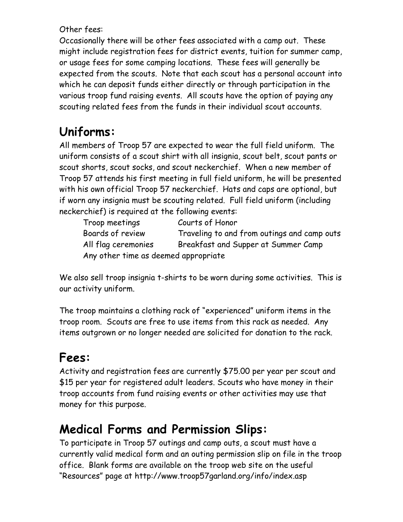Other fees:

Occasionally there will be other fees associated with a camp out. These might include registration fees for district events, tuition for summer camp,<br>or usage fees for some camping locations. These fees will generally be expected from the scouts. Note that each scout has a personal account into which he can deposit funds either directly or through participation in the various troop fund raising events. All scouts have the option of paying any scouting related fees from the funds in their individual scout accounts.

# **Uniforms:**

All members of Troop 57 are expected to wear the full field uniform. The uniform consists of a scout shirt with all insignia, scout belt, scout pants or scout shorts, scout socks, and scout neckerchief. When a new member of Troop 57 attends his first meeting in full field uniform, he will be presented with his own official Troop 57 neckerchief. Hats and caps are optional, but if worn any insignia must be scouting related. Full field uniform (including neckerchief) is required at the following events:

| Troop meetings                       | Courts of Honor                             |
|--------------------------------------|---------------------------------------------|
| Boards of review                     | Traveling to and from outings and camp outs |
| All flag ceremonies                  | Breakfast and Supper at Summer Camp         |
| Any other time as deemed appropriate |                                             |

We also sell troop insignia t-shirts to be worn during some activities. This is our activity uniform.

The troop maintains a clothing rack of "experienced" uniform items in the troop room. Scouts are free to use items from this rack as needed. Any items outgrown or no longer needed are solicited for donation to the rack.

# **Fees:**

Activity and registration fees are currently \$75.00 per year per scout and \$15 per year for registered adult leaders. Scouts who have money in their troop accounts from fund raising events or other activities may use that money for this purpose.

## **Medical Forms and Permission Slips:**

To participate in Troop 57 outings and camp outs, a scout must have a currently valid medical form and an outing permission slip on file in the troop office. Blank forms are available on the troop web site on the useful "Resources" page at http://www.troop57garland.org/info/index.asp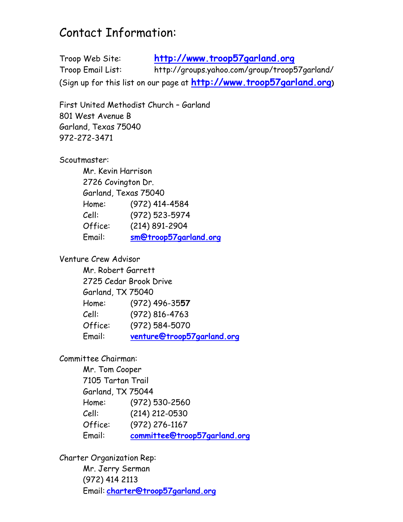### Contact Information:

Troop Web Site: **http://www.troop57garland.org** Troop Email List: http://groups.yahoo.com/group/troop57garland/ (Sign up for this list on our page at **http://www.troop57garland.org)**

First United Methodist Church – Garland 801 West Avenue B Garland, Texas 75040 972-272-3471

Scoutmaster:

Mr. Kevin Harrison 2726 Covington Dr. Garland, Texas 75040 Home: (972) 414-4584 Cell: (972) 523-5974 Office: (214) 891-2904 Email: **sm@troop57garland.org**

Venture Crew Advisor

Mr. Robert Garrett 2725 Cedar Brook Drive Garland, TX 75040 Home: (972) 496-35**57** Cell: (972) 816-4763 Office: (972) 584-5070 Email: **venture@troop57garland.org**

Committee Chairman:

Mr. Tom Cooper 7105 Tartan Trail Garland, TX 75044 Home: (972) 530-2560 Cell: (214) 212-0530 Office: (972) 276-1167 Email: **committee@troop57garland.org**

Charter Organization Rep:

Mr. Jerry Serman (972) 414 2113 Email: **charter@troop57garland.org**